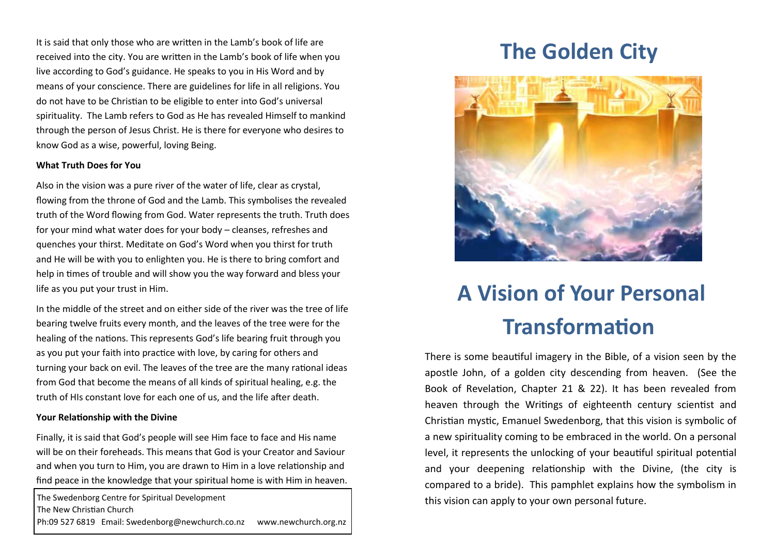It is said that only those who are written in the Lamb's book of life are received into the city. You are written in the Lamb's book of life when you live according to God's guidance. He speaks to you in His Word and by means of your conscience. There are guidelines for life in all religions. You do not have to be Christian to be eligible to enter into God's universal spirituality. The Lamb refers to God as He has revealed Himself to mankind through the person of Jesus Christ. He is there for everyone who desires to know God as a wise, powerful, loving Being.

# **What Truth Does for You**

Also in the vision was a pure river of the water of life, clear as crystal, flowing from the throne of God and the Lamb. This symbolises the revealed truth of the Word flowing from God. Water represents the truth. Truth does for your mind what water does for your body – cleanses, refreshes and quenches your thirst. Meditate on God's Word when you thirst for truth and He will be with you to enlighten you. He is there to bring comfort and help in times of trouble and will show you the way forward and bless your life as you put your trust in Him.

In the middle of the street and on either side of the river was the tree of life bearing twelve fruits every month, and the leaves of the tree were for the healing of the nations. This represents God's life bearing fruit through you as you put your faith into practice with love, by caring for others and turning your back on evil. The leaves of the tree are the many rational ideas from God that become the means of all kinds of spiritual healing, e.g. the truth of HIs constant love for each one of us, and the life after death.

## **Your Relationship with the Divine**

Finally, it is said that God's people will see Him face to face and His name will be on their foreheads. This means that God is your Creator and Saviour and when you turn to Him, you are drawn to Him in a love relationship and find peace in the knowledge that your spiritual home is with Him in heaven.

The Swedenborg Centre for Spiritual Development The New Christian Church Ph:09 527 6819 Email: Swedenborg@newchurch.co.nz www.newchurch.org.nz

# **The Golden City**



# **A Vision of Your Personal Transformation**

There is some beautiful imagery in the Bible, of a vision seen by the apostle John, of a golden city descending from heaven. (See the Book of Revelation, Chapter 21 & 22). It has been revealed from heaven through the Writings of eighteenth century scientist and Christian mystic, Emanuel Swedenborg, that this vision is symbolic of a new spirituality coming to be embraced in the world. On a personal level, it represents the unlocking of your beautiful spiritual potential and your deepening relationship with the Divine, (the city is compared to a bride). This pamphlet explains how the symbolism in this vision can apply to your own personal future.